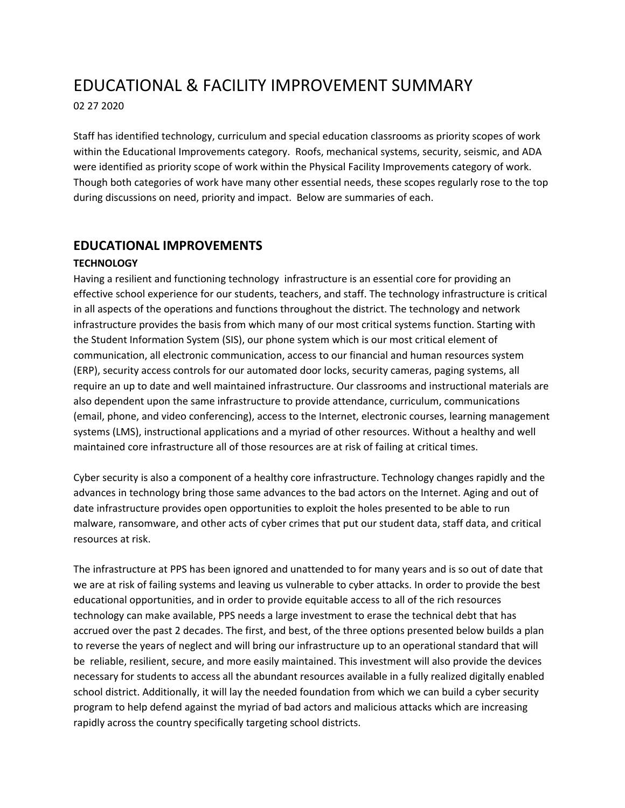# EDUCATIONAL & FACILITY IMPROVEMENT SUMMARY

02 27 2020

Staff has identified technology, curriculum and special education classrooms as priority scopes of work within the Educational Improvements category. Roofs, mechanical systems, security, seismic, and ADA were identified as priority scope of work within the Physical Facility Improvements category of work. Though both categories of work have many other essential needs, these scopes regularly rose to the top during discussions on need, priority and impact. Below are summaries of each.

## **EDUCATIONAL IMPROVEMENTS**

## **TECHNOLOGY**

Having a resilient and functioning technology infrastructure is an essential core for providing an effective school experience for our students, teachers, and staff. The technology infrastructure is critical in all aspects of the operations and functions throughout the district. The technology and network infrastructure provides the basis from which many of our most critical systems function. Starting with the Student Information System (SIS), our phone system which is our most critical element of communication, all electronic communication, access to our financial and human resources system (ERP), security access controls for our automated door locks, security cameras, paging systems, all require an up to date and well maintained infrastructure. Our classrooms and instructional materials are also dependent upon the same infrastructure to provide attendance, curriculum, communications (email, phone, and video conferencing), access to the Internet, electronic courses, learning management systems (LMS), instructional applications and a myriad of other resources. Without a healthy and well maintained core infrastructure all of those resources are at risk of failing at critical times.

Cyber security is also a component of a healthy core infrastructure. Technology changes rapidly and the advances in technology bring those same advances to the bad actors on the Internet. Aging and out of date infrastructure provides open opportunities to exploit the holes presented to be able to run malware, ransomware, and other acts of cyber crimes that put our student data, staff data, and critical resources at risk.

The infrastructure at PPS has been ignored and unattended to for many years and is so out of date that we are at risk of failing systems and leaving us vulnerable to cyber attacks. In order to provide the best educational opportunities, and in order to provide equitable access to all of the rich resources technology can make available, PPS needs a large investment to erase the technical debt that has accrued over the past 2 decades. The first, and best, of the three options presented below builds a plan to reverse the years of neglect and will bring our infrastructure up to an operational standard that will be reliable, resilient, secure, and more easily maintained. This investment will also provide the devices necessary for students to access all the abundant resources available in a fully realized digitally enabled school district. Additionally, it will lay the needed foundation from which we can build a cyber security program to help defend against the myriad of bad actors and malicious attacks which are increasing rapidly across the country specifically targeting school districts.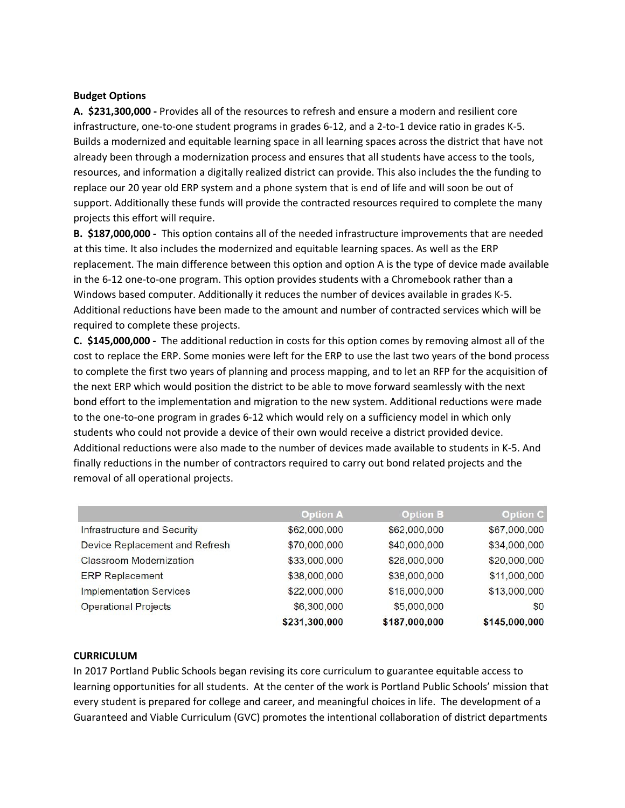#### **Budget Options**

**A. \$231,300,000 -** Provides all of the resources to refresh and ensure a modern and resilient core infrastructure, one-to-one student programs in grades 6-12, and a 2-to-1 device ratio in grades K-5. Builds a modernized and equitable learning space in all learning spaces across the district that have not already been through a modernization process and ensures that all students have access to the tools, resources, and information a digitally realized district can provide. This also includes the the funding to replace our 20 year old ERP system and a phone system that is end of life and will soon be out of support. Additionally these funds will provide the contracted resources required to complete the many projects this effort will require.

**B. \$187,000,000 -** This option contains all of the needed infrastructure improvements that are needed at this time. It also includes the modernized and equitable learning spaces. As well as the ERP replacement. The main difference between this option and option A is the type of device made available in the 6-12 one-to-one program. This option provides students with a Chromebook rather than a Windows based computer. Additionally it reduces the number of devices available in grades K-5. Additional reductions have been made to the amount and number of contracted services which will be required to complete these projects.

**C. \$145,000,000 -** The additional reduction in costs for this option comes by removing almost all of the cost to replace the ERP. Some monies were left for the ERP to use the last two years of the bond process to complete the first two years of planning and process mapping, and to let an RFP for the acquisition of the next ERP which would position the district to be able to move forward seamlessly with the next bond effort to the implementation and migration to the new system. Additional reductions were made to the one-to-one program in grades 6-12 which would rely on a sufficiency model in which only students who could not provide a device of their own would receive a district provided device. Additional reductions were also made to the number of devices made available to students in K-5. And finally reductions in the number of contractors required to carry out bond related projects and the removal of all operational projects.

|                                | <b>Option A</b> | <b>Option B</b> | <b>Option C</b> |
|--------------------------------|-----------------|-----------------|-----------------|
| Infrastructure and Security    | \$62,000,000    | \$62,000,000    | \$67,000,000    |
| Device Replacement and Refresh | \$70,000,000    | \$40,000,000    | \$34,000,000    |
| <b>Classroom Modernization</b> | \$33,000,000    | \$26,000,000    | \$20,000,000    |
| <b>ERP Replacement</b>         | \$38,000,000    | \$38,000,000    | \$11,000,000    |
| <b>Implementation Services</b> | \$22,000,000    | \$16,000,000    | \$13,000,000    |
| <b>Operational Projects</b>    | \$6,300,000     | \$5,000,000     | \$0             |
|                                | \$231,300,000   | \$187,000,000   | \$145,000,000   |

#### **CURRICULUM**

In 2017 Portland Public Schools began revising its core curriculum to guarantee equitable access to learning opportunities for all students. At the center of the work is Portland Public Schools' mission that every student is prepared for college and career, and meaningful choices in life. The development of a Guaranteed and Viable Curriculum (GVC) promotes the intentional collaboration of district departments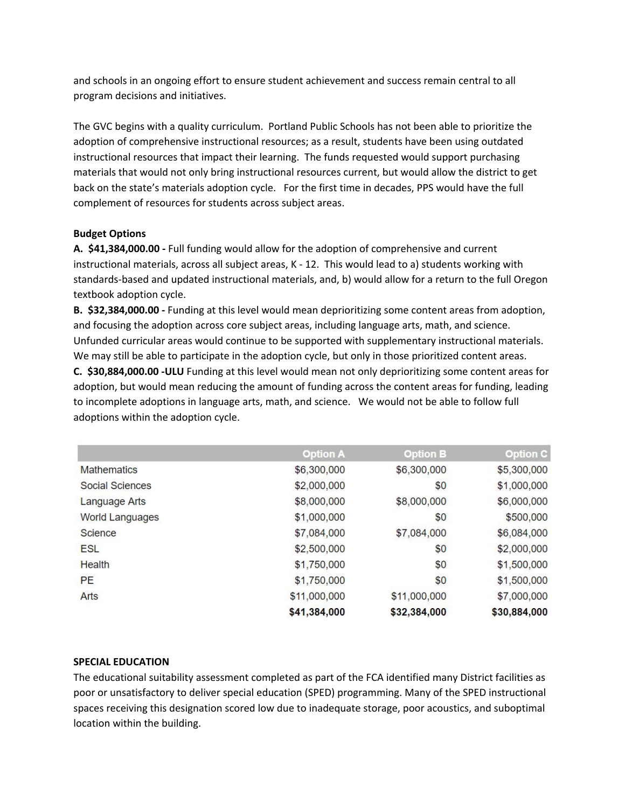and schools in an ongoing effort to ensure student achievement and success remain central to all program decisions and initiatives.

The GVC begins with a quality curriculum. Portland Public Schools has not been able to prioritize the adoption of comprehensive instructional resources; as a result, students have been using outdated instructional resources that impact their learning. The funds requested would support purchasing materials that would not only bring instructional resources current, but would allow the district to get back on the state's materials adoption cycle. For the first time in decades, PPS would have the full complement of resources for students across subject areas.

## **Budget Options**

**A. \$41,384,000.00 -** Full funding would allow for the adoption of comprehensive and current instructional materials, across all subject areas, K - 12. This would lead to a) students working with standards-based and updated instructional materials, and, b) would allow for a return to the full Oregon textbook adoption cycle.

**B. \$32,384,000.00 -** Funding at this level would mean deprioritizing some content areas from adoption, and focusing the adoption across core subject areas, including language arts, math, and science. Unfunded curricular areas would continue to be supported with supplementary instructional materials. We may still be able to participate in the adoption cycle, but only in those prioritized content areas.

**C. \$30,884,000.00 -ULU** Funding at this level would mean not only deprioritizing some content areas for adoption, but would mean reducing the amount of funding across the content areas for funding, leading to incomplete adoptions in language arts, math, and science. We would not be able to follow full adoptions within the adoption cycle.

|                        | <b>Option A</b> | <b>Option B</b> | <b>Option C</b> |
|------------------------|-----------------|-----------------|-----------------|
| <b>Mathematics</b>     | \$6,300,000     | \$6,300,000     | \$5,300,000     |
| Social Sciences        | \$2,000,000     | \$0             | \$1,000,000     |
| <b>Language Arts</b>   | \$8,000,000     | \$8,000,000     | \$6,000,000     |
| <b>World Languages</b> | \$1,000,000     | \$0             | \$500,000       |
| Science                | \$7,084,000     | \$7,084,000     | \$6,084,000     |
| <b>ESL</b>             | \$2,500,000     | \$0             | \$2,000,000     |
| <b>Health</b>          | \$1,750,000     | \$0             | \$1,500,000     |
| PE                     | \$1,750,000     | \$0             | \$1,500,000     |
| Arts                   | \$11,000,000    | \$11,000,000    | \$7,000,000     |
|                        | \$41,384,000    | \$32,384,000    | \$30,884,000    |

## **SPECIAL EDUCATION**

The educational suitability assessment completed as part of the FCA identified many District facilities as poor or unsatisfactory to deliver special education (SPED) programming. Many of the SPED instructional spaces receiving this designation scored low due to inadequate storage, poor acoustics, and suboptimal location within the building.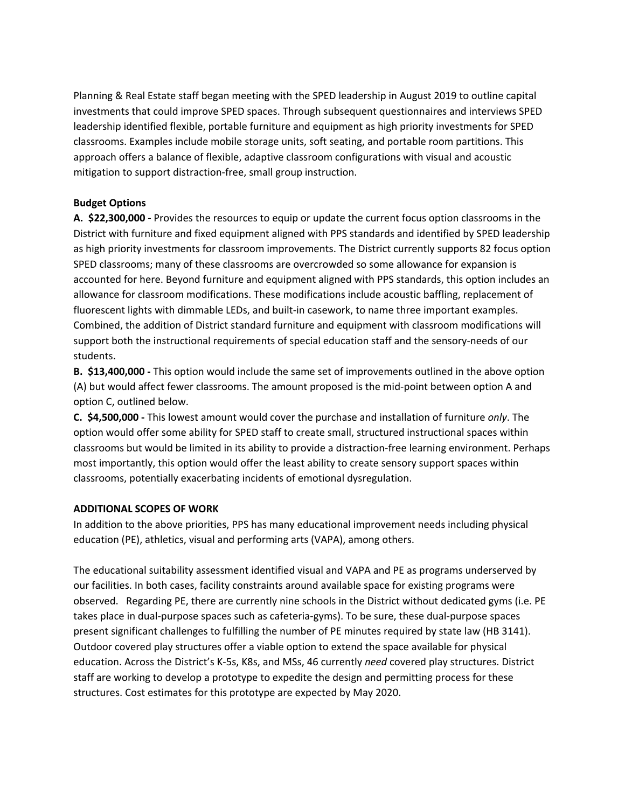Planning & Real Estate staff began meeting with the SPED leadership in August 2019 to outline capital investments that could improve SPED spaces. Through subsequent questionnaires and interviews SPED leadership identified flexible, portable furniture and equipment as high priority investments for SPED classrooms. Examples include mobile storage units, soft seating, and portable room partitions. This approach offers a balance of flexible, adaptive classroom configurations with visual and acoustic mitigation to support distraction-free, small group instruction.

## **Budget Options**

**A. \$22,300,000 -** Provides the resources to equip or update the current focus option classrooms in the District with furniture and fixed equipment aligned with PPS standards and identified by SPED leadership as high priority investments for classroom improvements. The District currently supports 82 focus option SPED classrooms; many of these classrooms are overcrowded so some allowance for expansion is accounted for here. Beyond furniture and equipment aligned with PPS standards, this option includes an allowance for classroom modifications. These modifications include acoustic baffling, replacement of fluorescent lights with dimmable LEDs, and built-in casework, to name three important examples. Combined, the addition of District standard furniture and equipment with classroom modifications will support both the instructional requirements of special education staff and the sensory-needs of our students.

**B. \$13,400,000 -** This option would include the same set of improvements outlined in the above option (A) but would affect fewer classrooms. The amount proposed is the mid-point between option A and option C, outlined below.

**C. \$4,500,000 -** This lowest amount would cover the purchase and installation of furniture *only*. The option would offer some ability for SPED staff to create small, structured instructional spaces within classrooms but would be limited in its ability to provide a distraction-free learning environment. Perhaps most importantly, this option would offer the least ability to create sensory support spaces within classrooms, potentially exacerbating incidents of emotional dysregulation.

## **ADDITIONAL SCOPES OF WORK**

In addition to the above priorities, PPS has many educational improvement needs including physical education (PE), athletics, visual and performing arts (VAPA), among others.

The educational suitability assessment identified visual and VAPA and PE as programs underserved by our facilities. In both cases, facility constraints around available space for existing programs were observed. Regarding PE, there are currently nine schools in the District without dedicated gyms (i.e. PE takes place in dual-purpose spaces such as cafeteria-gyms). To be sure, these dual-purpose spaces present significant challenges to fulfilling the number of PE minutes required by state law (HB 3141). Outdoor covered play structures offer a viable option to extend the space available for physical education. Across the District's K-5s, K8s, and MSs, 46 currently *need* covered play structures. District staff are working to develop a prototype to expedite the design and permitting process for these structures. Cost estimates for this prototype are expected by May 2020.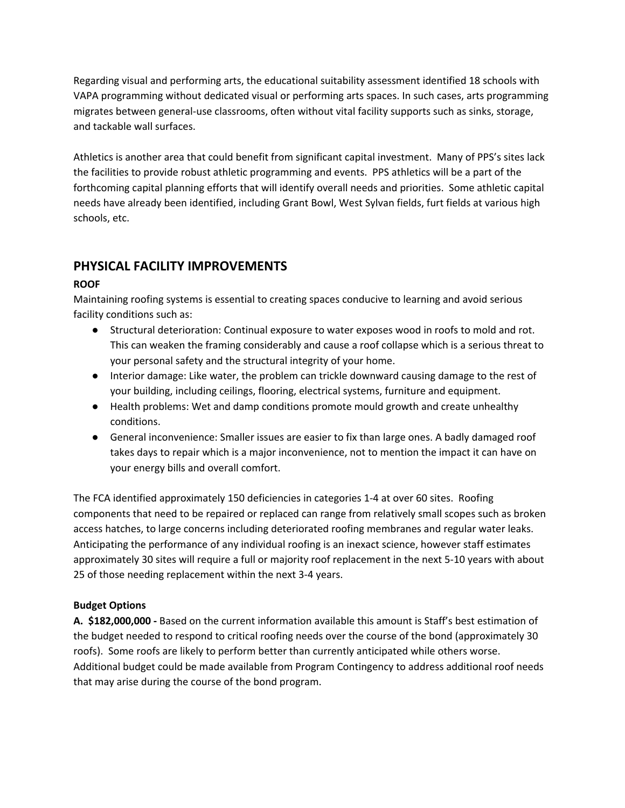Regarding visual and performing arts, the educational suitability assessment identified 18 schools with VAPA programming without dedicated visual or performing arts spaces. In such cases, arts programming migrates between general-use classrooms, often without vital facility supports such as sinks, storage, and tackable wall surfaces.

Athletics is another area that could benefit from significant capital investment. Many of PPS's sites lack the facilities to provide robust athletic programming and events. PPS athletics will be a part of the forthcoming capital planning efforts that will identify overall needs and priorities. Some athletic capital needs have already been identified, including Grant Bowl, West Sylvan fields, furt fields at various high schools, etc.

# **PHYSICAL FACILITY IMPROVEMENTS**

## **ROOF**

Maintaining roofing systems is essential to creating spaces conducive to learning and avoid serious facility conditions such as:

- Structural deterioration: Continual exposure to water exposes wood in roofs to mold and rot. This can weaken the framing considerably and cause a roof collapse which is a serious threat to your personal safety and the structural integrity of your home.
- Interior damage: Like water, the problem can trickle downward causing damage to the rest of your building, including ceilings, flooring, electrical systems, furniture and equipment.
- Health problems: Wet and damp conditions promote mould growth and create unhealthy conditions.
- General inconvenience: Smaller issues are easier to fix than large ones. A badly damaged roof takes days to repair which is a major inconvenience, not to mention the impact it can have on your energy bills and overall comfort.

The FCA identified approximately 150 deficiencies in categories 1-4 at over 60 sites. Roofing components that need to be repaired or replaced can range from relatively small scopes such as broken access hatches, to large concerns including deteriorated roofing membranes and regular water leaks. Anticipating the performance of any individual roofing is an inexact science, however staff estimates approximately 30 sites will require a full or majority roof replacement in the next 5-10 years with about 25 of those needing replacement within the next 3-4 years.

## **Budget Options**

**A. \$182,000,000 -** Based on the current information available this amount is Staff's best estimation of the budget needed to respond to critical roofing needs over the course of the bond (approximately 30 roofs). Some roofs are likely to perform better than currently anticipated while others worse. Additional budget could be made available from Program Contingency to address additional roof needs that may arise during the course of the bond program.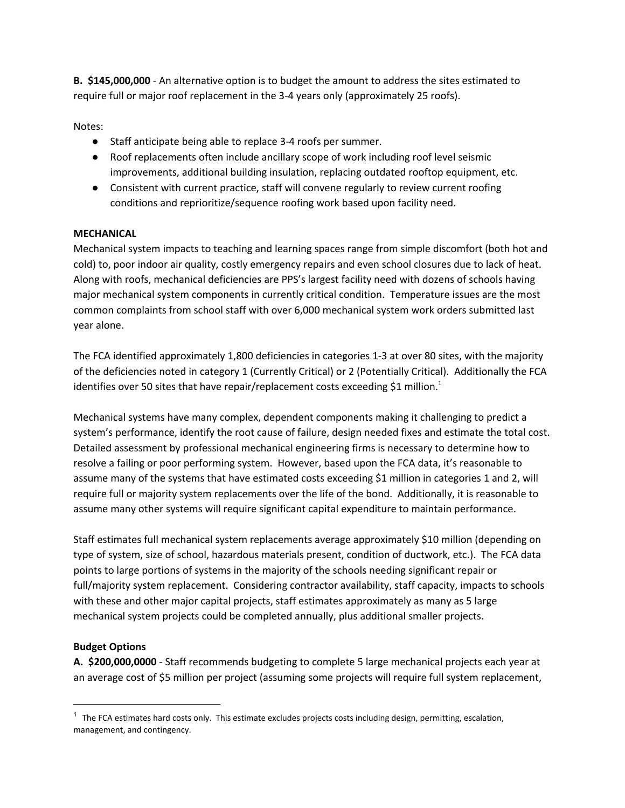**B. \$145,000,000** - An alternative option is to budget the amount to address the sites estimated to require full or major roof replacement in the 3-4 years only (approximately 25 roofs).

Notes:

- Staff anticipate being able to replace 3-4 roofs per summer.
- Roof replacements often include ancillary scope of work including roof level seismic improvements, additional building insulation, replacing outdated rooftop equipment, etc.
- Consistent with current practice, staff will convene regularly to review current roofing conditions and reprioritize/sequence roofing work based upon facility need.

## **MECHANICAL**

Mechanical system impacts to teaching and learning spaces range from simple discomfort (both hot and cold) to, poor indoor air quality, costly emergency repairs and even school closures due to lack of heat. Along with roofs, mechanical deficiencies are PPS's largest facility need with dozens of schools having major mechanical system components in currently critical condition. Temperature issues are the most common complaints from school staff with over 6,000 mechanical system work orders submitted last year alone.

The FCA identified approximately 1,800 deficiencies in categories 1-3 at over 80 sites, with the majority of the deficiencies noted in category 1 (Currently Critical) or 2 (Potentially Critical). Additionally the FCA identifies over 50 sites that have repair/replacement costs exceeding \$1 million.<sup>1</sup>

Mechanical systems have many complex, dependent components making it challenging to predict a system's performance, identify the root cause of failure, design needed fixes and estimate the total cost. Detailed assessment by professional mechanical engineering firms is necessary to determine how to resolve a failing or poor performing system. However, based upon the FCA data, it's reasonable to assume many of the systems that have estimated costs exceeding \$1 million in categories 1 and 2, will require full or majority system replacements over the life of the bond. Additionally, it is reasonable to assume many other systems will require significant capital expenditure to maintain performance.

Staff estimates full mechanical system replacements average approximately \$10 million (depending on type of system, size of school, hazardous materials present, condition of ductwork, etc.). The FCA data points to large portions of systems in the majority of the schools needing significant repair or full/majority system replacement. Considering contractor availability, staff capacity, impacts to schools with these and other major capital projects, staff estimates approximately as many as 5 large mechanical system projects could be completed annually, plus additional smaller projects.

## **Budget Options**

**A. \$200,000,0000** - Staff recommends budgeting to complete 5 large mechanical projects each year at an average cost of \$5 million per project (assuming some projects will require full system replacement,

 $1$  The FCA estimates hard costs only. This estimate excludes projects costs including design, permitting, escalation, management, and contingency.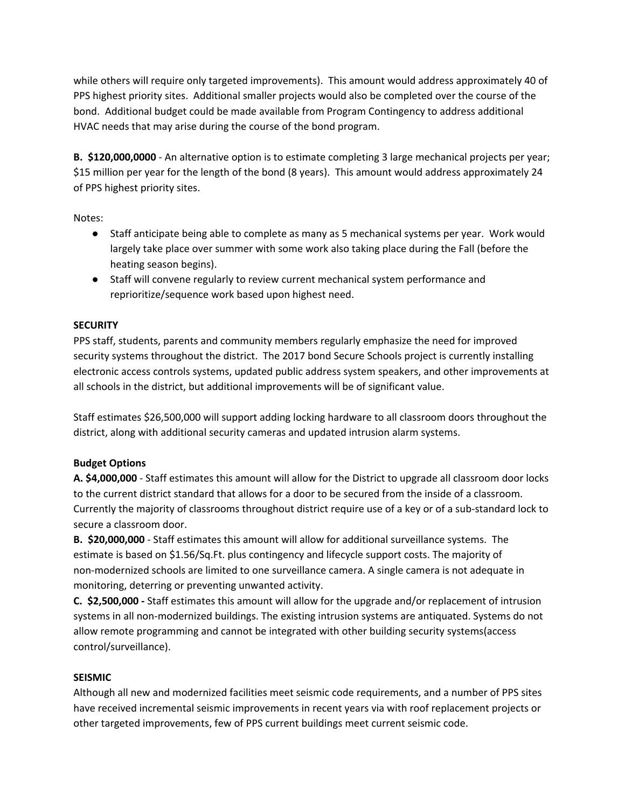while others will require only targeted improvements). This amount would address approximately 40 of PPS highest priority sites. Additional smaller projects would also be completed over the course of the bond. Additional budget could be made available from Program Contingency to address additional HVAC needs that may arise during the course of the bond program.

**B. \$120,000,0000** - An alternative option is to estimate completing 3 large mechanical projects per year; \$15 million per year for the length of the bond (8 years). This amount would address approximately 24 of PPS highest priority sites.

Notes:

- Staff anticipate being able to complete as many as 5 mechanical systems per year. Work would largely take place over summer with some work also taking place during the Fall (before the heating season begins).
- Staff will convene regularly to review current mechanical system performance and reprioritize/sequence work based upon highest need.

## **SECURITY**

PPS staff, students, parents and community members regularly emphasize the need for improved security systems throughout the district. The 2017 bond Secure Schools project is currently installing electronic access controls systems, updated public address system speakers, and other improvements at all schools in the district, but additional improvements will be of significant value.

Staff estimates \$26,500,000 will support adding locking hardware to all classroom doors throughout the district, along with additional security cameras and updated intrusion alarm systems.

## **Budget Options**

**A. \$4,000,000** - Staff estimates this amount will allow for the District to upgrade all classroom door locks to the current district standard that allows for a door to be secured from the inside of a classroom. Currently the majority of classrooms throughout district require use of a key or of a sub-standard lock to secure a classroom door.

**B. \$20,000,000** - Staff estimates this amount will allow for additional surveillance systems. The estimate is based on \$1.56/Sq.Ft. plus contingency and lifecycle support costs. The majority of non-modernized schools are limited to one surveillance camera. A single camera is not adequate in monitoring, deterring or preventing unwanted activity.

**C. \$2,500,000 -** Staff estimates this amount will allow for the upgrade and/or replacement of intrusion systems in all non-modernized buildings. The existing intrusion systems are antiquated. Systems do not allow remote programming and cannot be integrated with other building security systems(access control/surveillance).

## **SEISMIC**

Although all new and modernized facilities meet seismic code requirements, and a number of PPS sites have received incremental seismic improvements in recent years via with roof replacement projects or other targeted improvements, few of PPS current buildings meet current seismic code.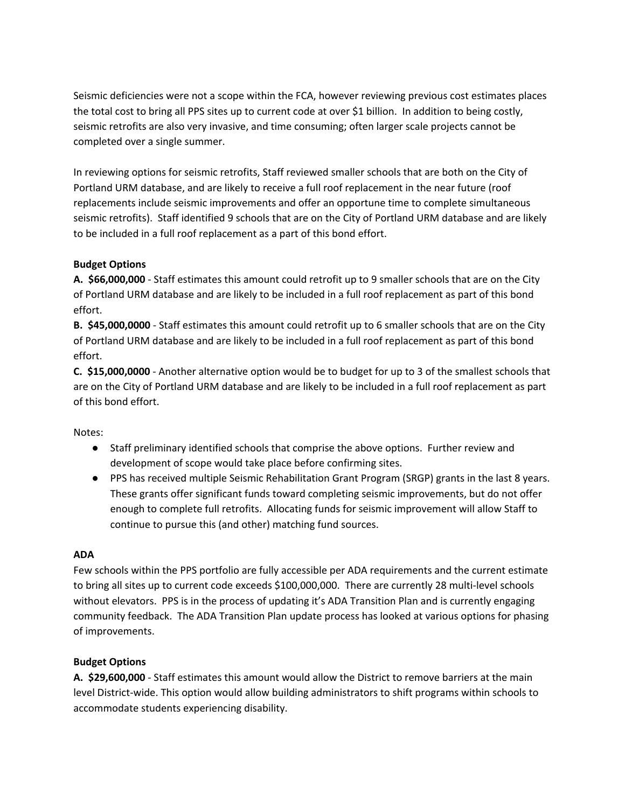Seismic deficiencies were not a scope within the FCA, however reviewing previous cost estimates places the total cost to bring all PPS sites up to current code at over \$1 billion. In addition to being costly, seismic retrofits are also very invasive, and time consuming; often larger scale projects cannot be completed over a single summer.

In reviewing options for seismic retrofits, Staff reviewed smaller schools that are both on the City of Portland URM database, and are likely to receive a full roof replacement in the near future (roof replacements include seismic improvements and offer an opportune time to complete simultaneous seismic retrofits). Staff identified 9 schools that are on the City of Portland URM database and are likely to be included in a full roof replacement as a part of this bond effort.

## **Budget Options**

**A. \$66,000,000** - Staff estimates this amount could retrofit up to 9 smaller schools that are on the City of Portland URM database and are likely to be included in a full roof replacement as part of this bond effort.

**B. \$45,000,0000** - Staff estimates this amount could retrofit up to 6 smaller schools that are on the City of Portland URM database and are likely to be included in a full roof replacement as part of this bond effort.

**C. \$15,000,0000** - Another alternative option would be to budget for up to 3 of the smallest schools that are on the City of Portland URM database and are likely to be included in a full roof replacement as part of this bond effort.

Notes:

- Staff preliminary identified schools that comprise the above options. Further review and development of scope would take place before confirming sites.
- PPS has received multiple Seismic Rehabilitation Grant Program (SRGP) grants in the last 8 years. These grants offer significant funds toward completing seismic improvements, but do not offer enough to complete full retrofits. Allocating funds for seismic improvement will allow Staff to continue to pursue this (and other) matching fund sources.

## **ADA**

Few schools within the PPS portfolio are fully accessible per ADA requirements and the current estimate to bring all sites up to current code exceeds \$100,000,000. There are currently 28 multi-level schools without elevators. PPS is in the process of updating it's ADA Transition Plan and is currently engaging community feedback. The ADA Transition Plan update process has looked at various options for phasing of improvements.

## **Budget Options**

**A. \$29,600,000** - Staff estimates this amount would allow the District to remove barriers at the main level District-wide. This option would allow building administrators to shift programs within schools to accommodate students experiencing disability.